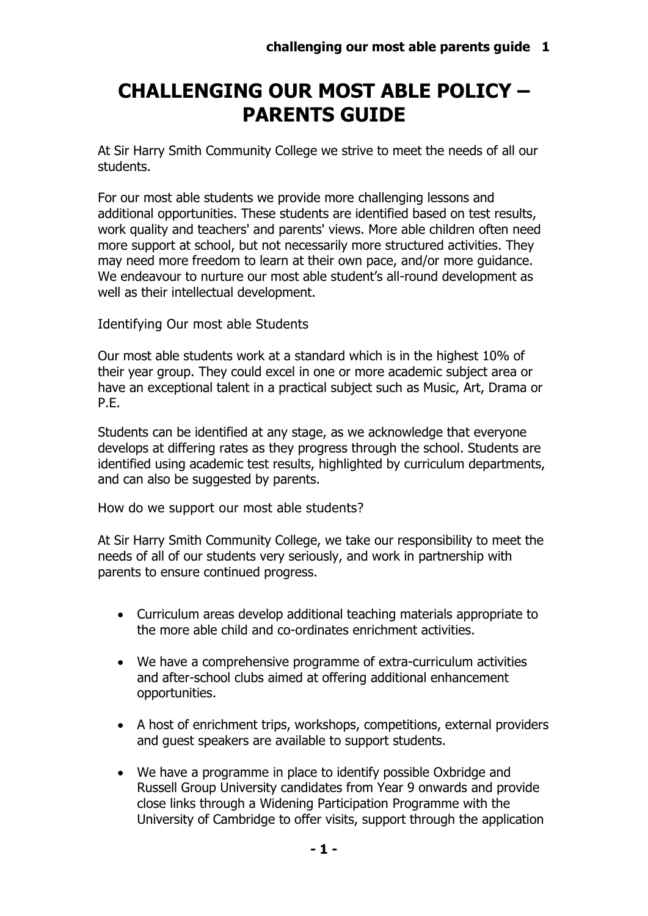## **CHALLENGING OUR MOST ABLE POLICY – PARENTS GUIDE**

At Sir Harry Smith Community College we strive to meet the needs of all our students.

For our most able students we provide more challenging lessons and additional opportunities. These students are identified based on test results, work quality and teachers' and parents' views. More able children often need more support at school, but not necessarily more structured activities. They may need more freedom to learn at their own pace, and/or more guidance. We endeavour to nurture our most able student's all-round development as well as their intellectual development.

Identifying Our most able Students

Our most able students work at a standard which is in the highest 10% of their year group. They could excel in one or more academic subject area or have an exceptional talent in a practical subject such as Music, Art, Drama or P.E.

Students can be identified at any stage, as we acknowledge that everyone develops at differing rates as they progress through the school. Students are identified using academic test results, highlighted by curriculum departments, and can also be suggested by parents.

How do we support our most able students?

At Sir Harry Smith Community College, we take our responsibility to meet the needs of all of our students very seriously, and work in partnership with parents to ensure continued progress.

- Curriculum areas develop additional teaching materials appropriate to the more able child and co-ordinates enrichment activities.
- We have a comprehensive programme of extra-curriculum activities and after-school clubs aimed at offering additional enhancement opportunities.
- A host of enrichment trips, workshops, competitions, external providers and guest speakers are available to support students.
- We have a programme in place to identify possible Oxbridge and Russell Group University candidates from Year 9 onwards and provide close links through a Widening Participation Programme with the University of Cambridge to offer visits, support through the application